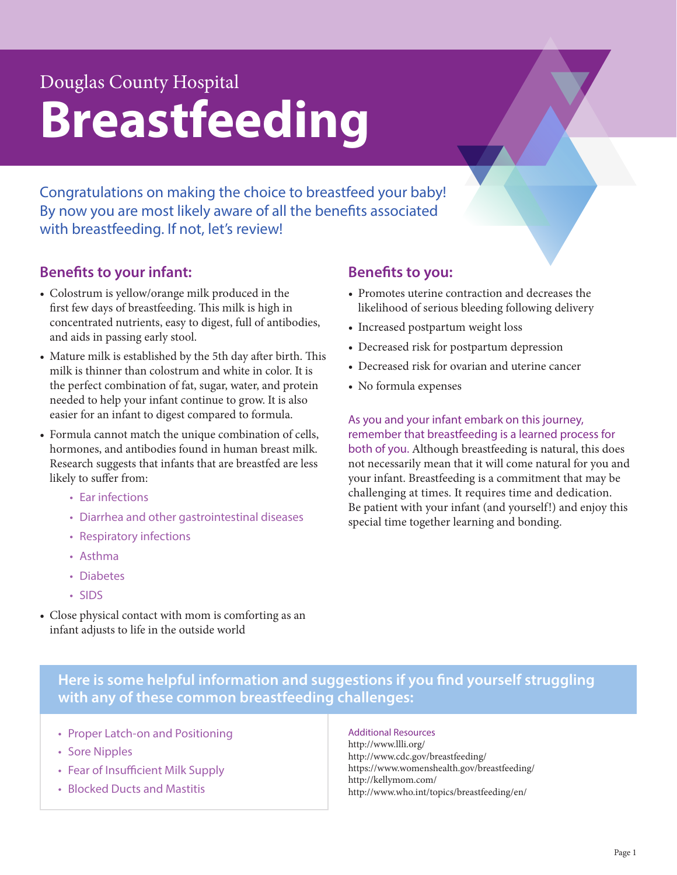# Douglas County Hospital **Breastfeeding**

Congratulations on making the choice to breastfeed your baby! By now you are most likely aware of all the benefits associated with breastfeeding. If not, let's review!

### **Benefits to your infant:**

- Colostrum is yellow/orange milk produced in the first few days of breastfeeding. This milk is high in concentrated nutrients, easy to digest, full of antibodies, and aids in passing early stool.
- Mature milk is established by the 5th day after birth. This milk is thinner than colostrum and white in color. It is the perfect combination of fat, sugar, water, and protein needed to help your infant continue to grow. It is also easier for an infant to digest compared to formula.
- Formula cannot match the unique combination of cells, hormones, and antibodies found in human breast milk. Research suggests that infants that are breastfed are less likely to suffer from:
	- Ear infections
	- Diarrhea and other gastrointestinal diseases
	- Respiratory infections
	- Asthma
	- Diabetes
	- SIDS
- Close physical contact with mom is comforting as an infant adjusts to life in the outside world

### **Benefits to you:**

- Promotes uterine contraction and decreases the likelihood of serious bleeding following delivery
- Increased postpartum weight loss
- Decreased risk for postpartum depression
- Decreased risk for ovarian and uterine cancer
- No formula expenses

As you and your infant embark on this journey, remember that breastfeeding is a learned process for both of you. Although breastfeeding is natural, this does not necessarily mean that it will come natural for you and your infant. Breastfeeding is a commitment that may be challenging at times. It requires time and dedication. Be patient with your infant (and yourself!) and enjoy this special time together learning and bonding.

**Here is some helpful information and suggestions if you find yourself struggling with any of these common breastfeeding challenges:** 

- Proper Latch-on and Positioning
- Sore Nipples
- Fear of Insufficient Milk Supply
- Blocked Ducts and Mastitis

Additional Resources http://www.llli.org/ http://www.cdc.gov/breastfeeding/ https://www.womenshealth.gov/breastfeeding/ http://kellymom.com/ http://www.who.int/topics/breastfeeding/en/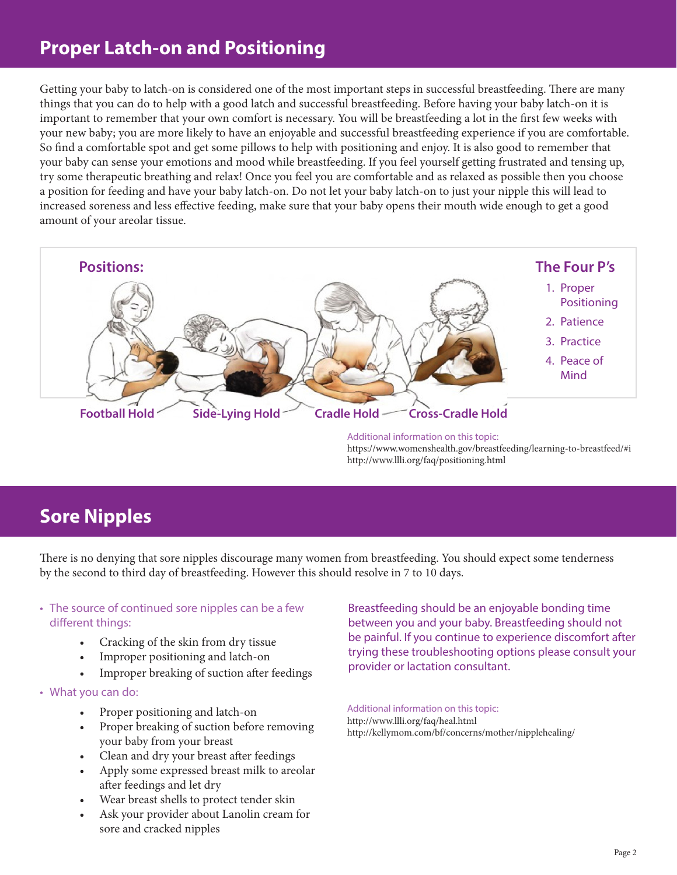## **Proper Latch-on and Positioning**

Getting your baby to latch-on is considered one of the most important steps in successful breastfeeding. There are many things that you can do to help with a good latch and successful breastfeeding. Before having your baby latch-on it is important to remember that your own comfort is necessary. You will be breastfeeding a lot in the first few weeks with your new baby; you are more likely to have an enjoyable and successful breastfeeding experience if you are comfortable. So find a comfortable spot and get some pillows to help with positioning and enjoy. It is also good to remember that your baby can sense your emotions and mood while breastfeeding. If you feel yourself getting frustrated and tensing up, try some therapeutic breathing and relax! Once you feel you are comfortable and as relaxed as possible then you choose a position for feeding and have your baby latch-on. Do not let your baby latch-on to just your nipple this will lead to increased soreness and less effective feeding, make sure that your baby opens their mouth wide enough to get a good amount of your areolar tissue.



Additional information on this topic: https://www.womenshealth.gov/breastfeeding/learning-to-breastfeed/#i http://www.llli.org/faq/positioning.html

## **Sore Nipples**

There is no denying that sore nipples discourage many women from breastfeeding. You should expect some tenderness by the second to third day of breastfeeding. However this should resolve in 7 to 10 days.

### • The source of continued sore nipples can be a few different things:

- Cracking of the skin from dry tissue
- Improper positioning and latch-on
- Improper breaking of suction after feedings
- What you can do:
	- Proper positioning and latch-on
	- Proper breaking of suction before removing your baby from your breast
	- Clean and dry your breast after feedings
	- Apply some expressed breast milk to areolar after feedings and let dry
	- Wear breast shells to protect tender skin
	- Ask your provider about Lanolin cream for sore and cracked nipples

Breastfeeding should be an enjoyable bonding time between you and your baby. Breastfeeding should not be painful. If you continue to experience discomfort after trying these troubleshooting options please consult your provider or lactation consultant.

### Additional information on this topic:

http://www.llli.org/faq/heal.html http://kellymom.com/bf/concerns/mother/nipplehealing/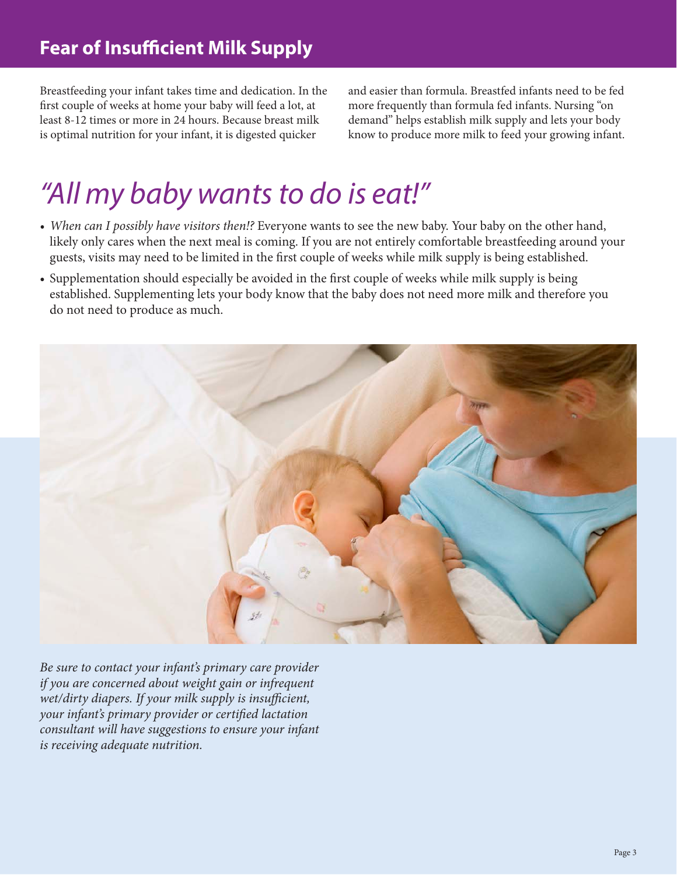Breastfeeding your infant takes time and dedication. In the first couple of weeks at home your baby will feed a lot, at least 8-12 times or more in 24 hours. Because breast milk is optimal nutrition for your infant, it is digested quicker

and easier than formula. Breastfed infants need to be fed more frequently than formula fed infants. Nursing "on demand" helps establish milk supply and lets your body know to produce more milk to feed your growing infant.

# *"All my baby wants to do is eat!"*

- When can I possibly have visitors then!? Everyone wants to see the new baby. Your baby on the other hand, likely only cares when the next meal is coming. If you are not entirely comfortable breastfeeding around your guests, visits may need to be limited in the first couple of weeks while milk supply is being established.
- Supplementation should especially be avoided in the first couple of weeks while milk supply is being established. Supplementing lets your body know that the baby does not need more milk and therefore you do not need to produce as much.



*Be sure to contact your infant's primary care provider if you are concerned about weight gain or infrequent wet/dirty diapers. If your milk supply is insufficient, your infant's primary provider or certified lactation consultant will have suggestions to ensure your infant is receiving adequate nutrition.*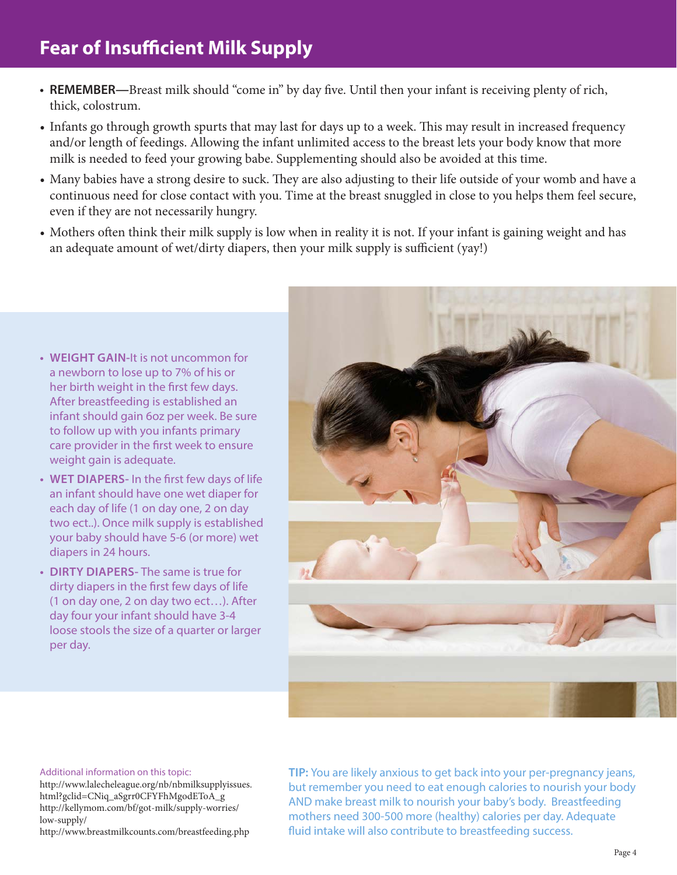- **• REMEMBER—**Breast milk should "come in" by day five. Until then your infant is receiving plenty of rich, thick, colostrum.
- Infants go through growth spurts that may last for days up to a week. This may result in increased frequency and/or length of feedings. Allowing the infant unlimited access to the breast lets your body know that more milk is needed to feed your growing babe. Supplementing should also be avoided at this time.
- Many babies have a strong desire to suck. They are also adjusting to their life outside of your womb and have a continuous need for close contact with you. Time at the breast snuggled in close to you helps them feel secure, even if they are not necessarily hungry.
- Mothers often think their milk supply is low when in reality it is not. If your infant is gaining weight and has an adequate amount of wet/dirty diapers, then your milk supply is sufficient (yay!)

- **• WEIGHT GAIN-**It is not uncommon for a newborn to lose up to 7% of his or her birth weight in the first few days. After breastfeeding is established an infant should gain 6oz per week. Be sure to follow up with you infants primary care provider in the first week to ensure weight gain is adequate.
- **• WET DIAPERS-** In the first few days of life an infant should have one wet diaper for each day of life (1 on day one, 2 on day two ect..). Once milk supply is established your baby should have 5-6 (or more) wet diapers in 24 hours.
- **• DIRTY DIAPERS-** The same is true for dirty diapers in the first few days of life (1 on day one, 2 on day two ect…). After day four your infant should have 3-4 loose stools the size of a quarter or larger per day.



#### Additional information on this topic:

http://www.lalecheleague.org/nb/nbmilksupplyissues. html?gclid=CNiq\_aSgrr0CFYFhMgodEToA\_g http://kellymom.com/bf/got-milk/supply-worries/ low-supply/

http://www.breastmilkcounts.com/breastfeeding.php

**TIP:** You are likely anxious to get back into your per-pregnancy jeans, but remember you need to eat enough calories to nourish your body AND make breast milk to nourish your baby's body. Breastfeeding mothers need 300-500 more (healthy) calories per day. Adequate fluid intake will also contribute to breastfeeding success.